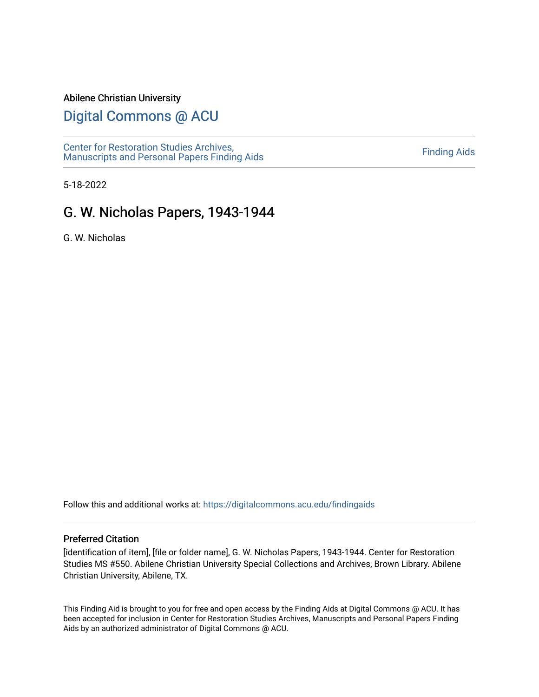#### Abilene Christian University

## [Digital Commons @ ACU](https://digitalcommons.acu.edu/)

[Center for Restoration Studies Archives,](https://digitalcommons.acu.edu/findingaids)  [Manuscripts and Personal Papers Finding Aids](https://digitalcommons.acu.edu/findingaids) [Finding Aids](https://digitalcommons.acu.edu/crs_finding_aids) 

5-18-2022

# G. W. Nicholas Papers, 1943-1944

G. W. Nicholas

Follow this and additional works at: [https://digitalcommons.acu.edu/findingaids](https://digitalcommons.acu.edu/findingaids?utm_source=digitalcommons.acu.edu%2Ffindingaids%2F837&utm_medium=PDF&utm_campaign=PDFCoverPages)

#### Preferred Citation

[identification of item], [file or folder name], G. W. Nicholas Papers, 1943-1944. Center for Restoration Studies MS #550. Abilene Christian University Special Collections and Archives, Brown Library. Abilene Christian University, Abilene, TX.

This Finding Aid is brought to you for free and open access by the Finding Aids at Digital Commons @ ACU. It has been accepted for inclusion in Center for Restoration Studies Archives, Manuscripts and Personal Papers Finding Aids by an authorized administrator of Digital Commons @ ACU.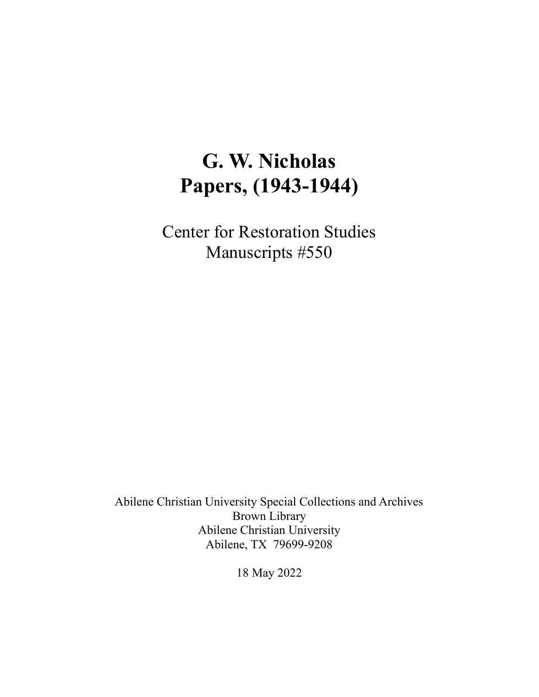# **G. W. Nicholas Papers, (1943-1944)**

Center for Restoration Studies Manuscripts #550

Abilene Christian University Special Collections and Archives Brown Library Abilene Christian University Abilene, TX 79699-9208

18 May 2022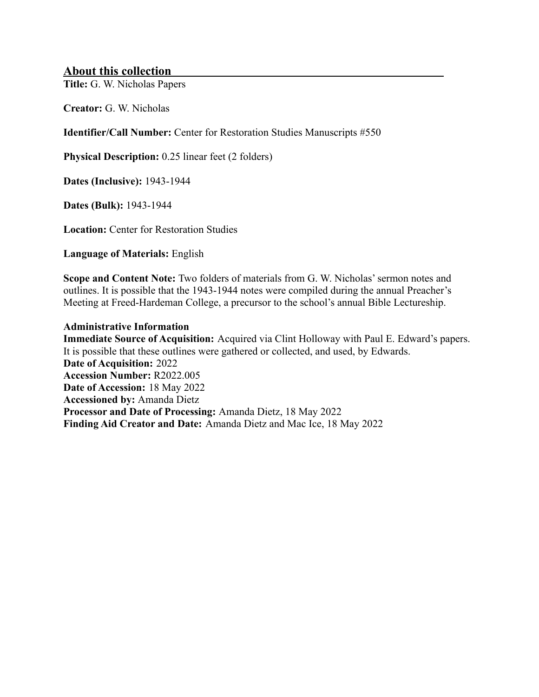#### **About this collection**

**Title:** G. W. Nicholas Papers

**Creator:** G. W. Nicholas

**Identifier/Call Number:** Center for Restoration Studies Manuscripts #550

**Physical Description:** 0.25 linear feet (2 folders)

**Dates (Inclusive):** 1943-1944

**Dates (Bulk):** 1943-1944

**Location:** Center for Restoration Studies

**Language of Materials:** English

**Scope and Content Note:** Two folders of materials from G. W. Nicholas' sermon notes and outlines. It is possible that the 1943-1944 notes were compiled during the annual Preacher's Meeting at Freed-Hardeman College, a precursor to the school's annual Bible Lectureship.

#### **Administrative Information**

**Immediate Source of Acquisition:** Acquired via Clint Holloway with Paul E. Edward's papers. It is possible that these outlines were gathered or collected, and used, by Edwards. **Date of Acquisition:** 2022 **Accession Number:** R2022.005 **Date of Accession:** 18 May 2022 **Accessioned by:** Amanda Dietz **Processor and Date of Processing:** Amanda Dietz, 18 May 2022 **Finding Aid Creator and Date:** Amanda Dietz and Mac Ice, 18 May 2022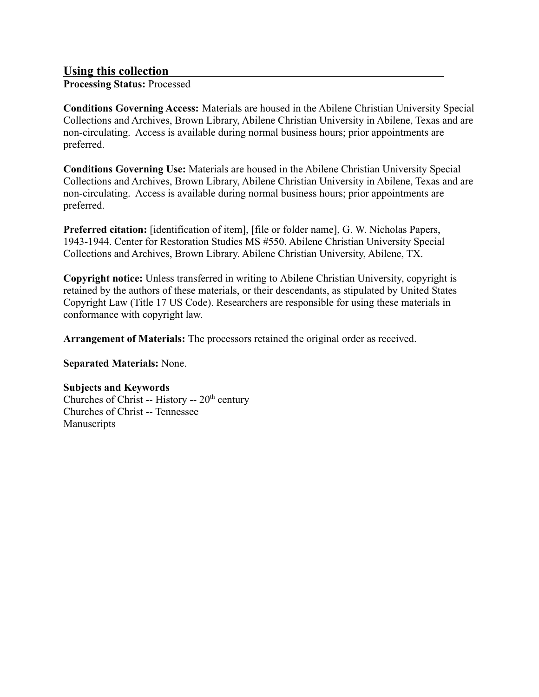#### **Using this collection**

**Processing Status:** Processed

**Conditions Governing Access:** Materials are housed in the Abilene Christian University Special Collections and Archives, Brown Library, Abilene Christian University in Abilene, Texas and are non-circulating. Access is available during normal business hours; prior appointments are preferred.

**Conditions Governing Use:** Materials are housed in the Abilene Christian University Special Collections and Archives, Brown Library, Abilene Christian University in Abilene, Texas and are non-circulating. Access is available during normal business hours; prior appointments are preferred.

**Preferred citation:** [identification of item], [file or folder name], G. W. Nicholas Papers, 1943-1944. Center for Restoration Studies MS #550. Abilene Christian University Special Collections and Archives, Brown Library. Abilene Christian University, Abilene, TX.

**Copyright notice:** Unless transferred in writing to Abilene Christian University, copyright is retained by the authors of these materials, or their descendants, as stipulated by United States Copyright Law (Title 17 US Code). Researchers are responsible for using these materials in conformance with copyright law.

**Arrangement of Materials:** The processors retained the original order as received.

**Separated Materials:** None.

#### **Subjects and Keywords**

Churches of Christ -- History --  $20<sup>th</sup>$  century Churches of Christ -- Tennessee Manuscripts